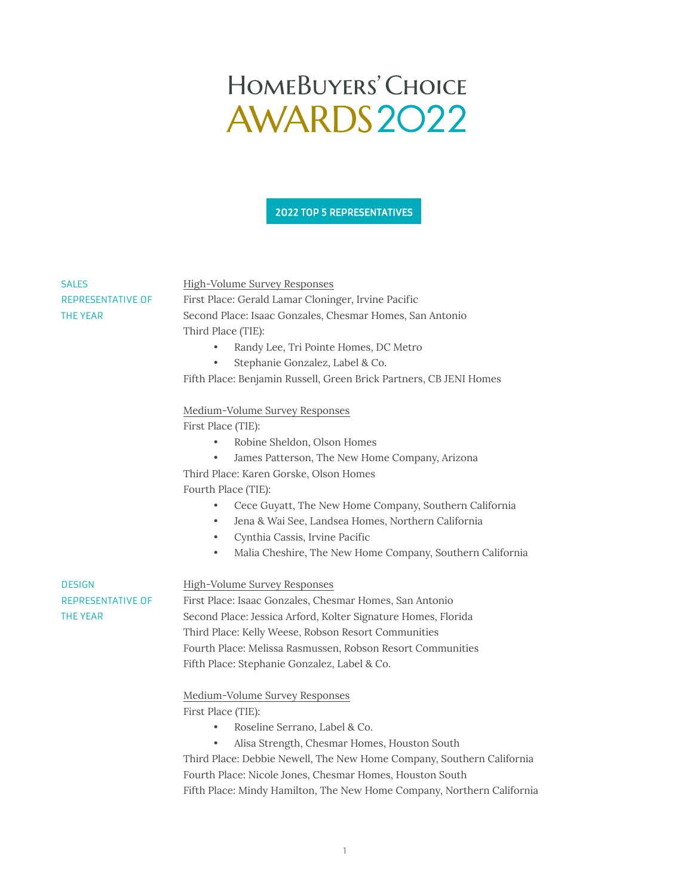## HOMEBUYERS' CHOICE AWARDS2022

## 2022 TOP 5 REPRESENTATIVES

| <b>SALES</b>             | High-Volume Survey Responses                                           |
|--------------------------|------------------------------------------------------------------------|
| <b>REPRESENTATIVE OF</b> | First Place: Gerald Lamar Cloninger, Irvine Pacific                    |
| THE YEAR                 | Second Place: Isaac Gonzales, Chesmar Homes, San Antonio               |
|                          | Third Place (TIE):                                                     |
|                          | Randy Lee, Tri Pointe Homes, DC Metro                                  |
|                          | Stephanie Gonzalez, Label & Co.                                        |
|                          | Fifth Place: Benjamin Russell, Green Brick Partners, CB JENI Homes     |
|                          | Medium-Volume Survey Responses                                         |
|                          | First Place (TIE):                                                     |
|                          | Robine Sheldon, Olson Homes<br>$\bullet$                               |
|                          | James Patterson, The New Home Company, Arizona<br>$\bullet$            |
|                          | Third Place: Karen Gorske, Olson Homes                                 |
|                          | Fourth Place (TIE):                                                    |
|                          | Cece Guyatt, The New Home Company, Southern California                 |
|                          | Jena & Wai See, Landsea Homes, Northern California<br>$\bullet$        |
|                          | Cynthia Cassis, Irvine Pacific<br>$\bullet$                            |
|                          | Malia Cheshire, The New Home Company, Southern California<br>$\bullet$ |
| <b>DESIGN</b>            | High-Volume Survey Responses                                           |
| <b>REPRESENTATIVE OF</b> | First Place: Isaac Gonzales, Chesmar Homes, San Antonio                |
| THE YEAR                 | Second Place: Jessica Arford, Kolter Signature Homes, Florida          |
|                          | Third Place: Kelly Weese, Robson Resort Communities                    |
|                          | Fourth Place: Melissa Rasmussen, Robson Resort Communities             |
|                          | Fifth Place: Stephanie Gonzalez, Label & Co.                           |
|                          | Medium-Volume Survey Responses                                         |
|                          | First Place (TIE):                                                     |
|                          | Roseline Serrano, Label & Co.                                          |
|                          | Alisa Strength, Chesmar Homes, Houston South                           |
|                          | Third Place: Debbie Newell, The New Home Company, Southern California  |
|                          | Fourth Place: Nicole Jones, Chesmar Homes, Houston South               |

Fifth Place: Mindy Hamilton, The New Home Company, Northern California